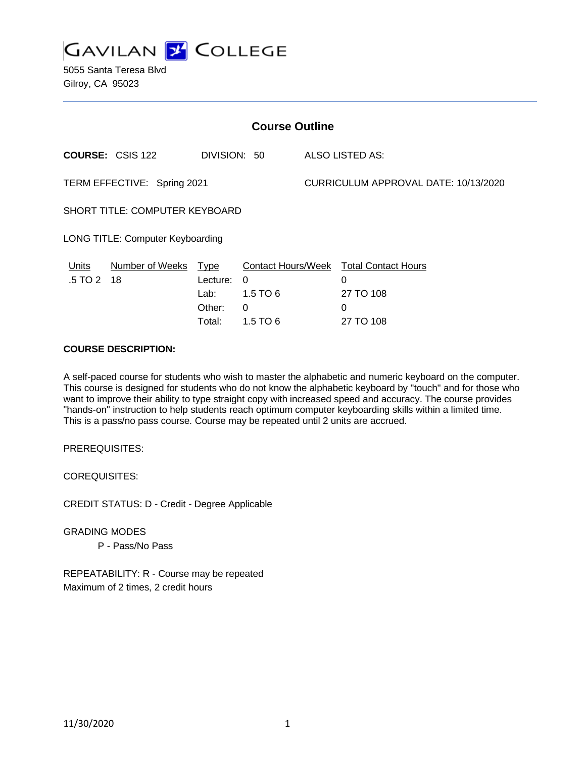

5055 Santa Teresa Blvd Gilroy, CA 95023

| <b>Course Outline</b>                 |                         |                                           |                             |                                      |                                                               |
|---------------------------------------|-------------------------|-------------------------------------------|-----------------------------|--------------------------------------|---------------------------------------------------------------|
|                                       | <b>COURSE: CSIS 122</b> | DIVISION: 50                              |                             |                                      | ALSO LISTED AS:                                               |
| TERM EFFECTIVE: Spring 2021           |                         |                                           |                             | CURRICULUM APPROVAL DATE: 10/13/2020 |                                                               |
| <b>SHORT TITLE: COMPUTER KEYBOARD</b> |                         |                                           |                             |                                      |                                                               |
| LONG TITLE: Computer Keyboarding      |                         |                                           |                             |                                      |                                                               |
| Units<br>.5 TO 2                      | Number of Weeks<br>-18  | <u>Type</u><br>Lecture:<br>Lab:<br>Other: | $\Omega$<br>$1.5$ TO 6<br>0 |                                      | Contact Hours/Week Total Contact Hours<br>0<br>27 TO 108<br>0 |
|                                       |                         | Total:                                    | 1.5 TO 6                    |                                      | 27 TO 108                                                     |

### **COURSE DESCRIPTION:**

A self-paced course for students who wish to master the alphabetic and numeric keyboard on the computer. This course is designed for students who do not know the alphabetic keyboard by "touch" and for those who want to improve their ability to type straight copy with increased speed and accuracy. The course provides "hands-on" instruction to help students reach optimum computer keyboarding skills within a limited time. This is a pass/no pass course. Course may be repeated until 2 units are accrued.

PREREQUISITES:

COREQUISITES:

CREDIT STATUS: D - Credit - Degree Applicable

GRADING MODES P - Pass/No Pass

REPEATABILITY: R - Course may be repeated Maximum of 2 times, 2 credit hours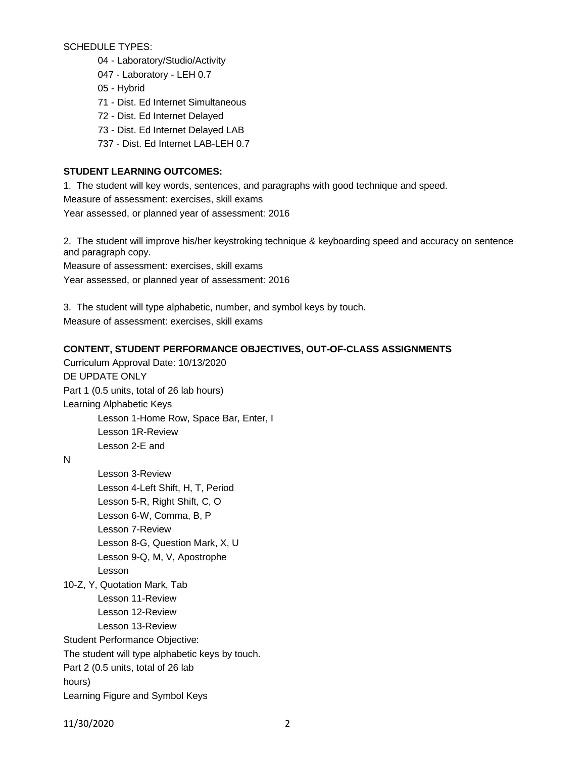SCHEDULE TYPES:

- 04 Laboratory/Studio/Activity
- 047 Laboratory LEH 0.7
- 05 Hybrid
- 71 Dist. Ed Internet Simultaneous
- 72 Dist. Ed Internet Delayed
- 73 Dist. Ed Internet Delayed LAB
- 737 Dist. Ed Internet LAB-LEH 0.7

## **STUDENT LEARNING OUTCOMES:**

1. The student will key words, sentences, and paragraphs with good technique and speed. Measure of assessment: exercises, skill exams Year assessed, or planned year of assessment: 2016

2. The student will improve his/her keystroking technique & keyboarding speed and accuracy on sentence and paragraph copy.

Measure of assessment: exercises, skill exams

Year assessed, or planned year of assessment: 2016

3. The student will type alphabetic, number, and symbol keys by touch. Measure of assessment: exercises, skill exams

# **CONTENT, STUDENT PERFORMANCE OBJECTIVES, OUT-OF-CLASS ASSIGNMENTS**

Curriculum Approval Date: 10/13/2020 DE UPDATE ONLY Part 1 (0.5 units, total of 26 lab hours) Learning Alphabetic Keys Lesson 1-Home Row, Space Bar, Enter, I Lesson 1R-Review Lesson 2-E and

N

Lesson 3-Review Lesson 4-Left Shift, H, T, Period Lesson 5-R, Right Shift, C, O Lesson 6-W, Comma, B, P Lesson 7-Review Lesson 8-G, Question Mark, X, U Lesson 9-Q, M, V, Apostrophe Lesson

10-Z, Y, Quotation Mark, Tab

Lesson 11-Review Lesson 12-Review Lesson 13-Review

Student Performance Objective:

The student will type alphabetic keys by touch.

Part 2 (0.5 units, total of 26 lab

hours)

Learning Figure and Symbol Keys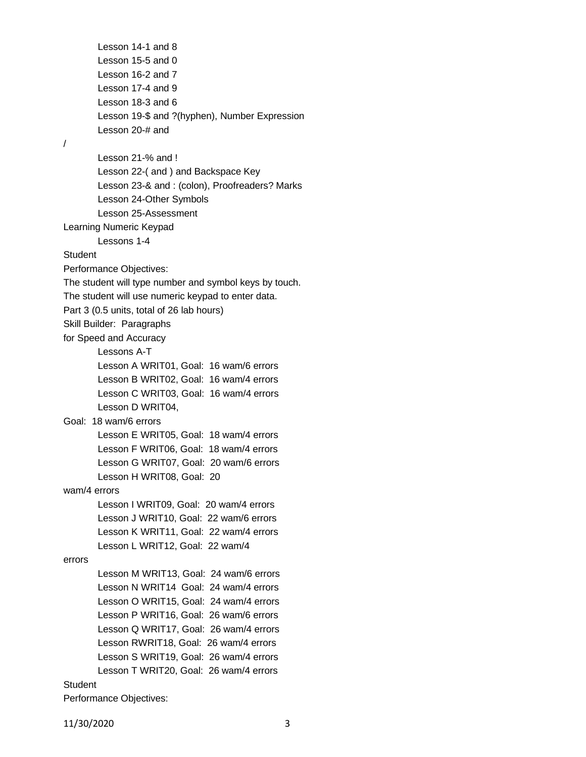Lesson 14-1 and 8 Lesson 15-5 and 0 Lesson 16-2 and 7 Lesson 17-4 and 9 Lesson 18-3 and 6 Lesson 19-\$ and ?(hyphen), Number Expression Lesson 20-# and / Lesson 21-% and ! Lesson 22-( and ) and Backspace Key Lesson 23-& and : (colon), Proofreaders? Marks Lesson 24-Other Symbols Lesson 25-Assessment Learning Numeric Keypad Lessons 1-4 **Student** Performance Objectives: The student will type number and symbol keys by touch. The student will use numeric keypad to enter data. Part 3 (0.5 units, total of 26 lab hours) Skill Builder: Paragraphs for Speed and Accuracy Lessons A-T Lesson A WRIT01, Goal: 16 wam/6 errors Lesson B WRIT02, Goal: 16 wam/4 errors Lesson C WRIT03, Goal: 16 wam/4 errors Lesson D WRIT04, Goal: 18 wam/6 errors Lesson E WRIT05, Goal: 18 wam/4 errors Lesson F WRIT06, Goal: 18 wam/4 errors Lesson G WRIT07, Goal: 20 wam/6 errors Lesson H WRIT08, Goal: 20 wam/4 errors Lesson I WRIT09, Goal: 20 wam/4 errors Lesson J WRIT10, Goal: 22 wam/6 errors Lesson K WRIT11, Goal: 22 wam/4 errors Lesson L WRIT12, Goal: 22 wam/4 errors Lesson M WRIT13, Goal: 24 wam/6 errors Lesson N WRIT14 Goal: 24 wam/4 errors Lesson O WRIT15, Goal: 24 wam/4 errors Lesson P WRIT16, Goal: 26 wam/6 errors Lesson Q WRIT17, Goal: 26 wam/4 errors Lesson RWRIT18, Goal: 26 wam/4 errors Lesson S WRIT19, Goal: 26 wam/4 errors Lesson T WRIT20, Goal: 26 wam/4 errors **Student** 

Performance Objectives: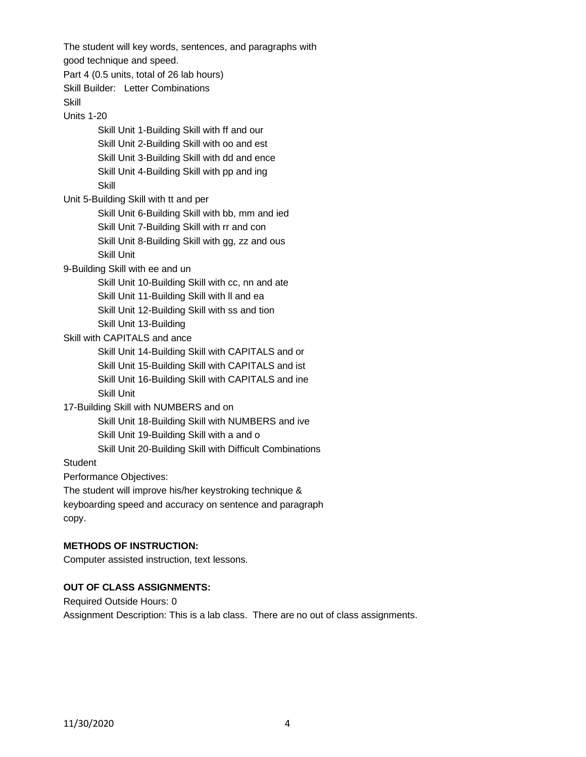The student will key words, sentences, and paragraphs with good technique and speed. Part 4 (0.5 units, total of 26 lab hours) Skill Builder: Letter Combinations **Skill** Units 1-20 Skill Unit 1-Building Skill with ff and our Skill Unit 2-Building Skill with oo and est Skill Unit 3-Building Skill with dd and ence Skill Unit 4-Building Skill with pp and ing **Skill** Unit 5-Building Skill with tt and per Skill Unit 6-Building Skill with bb, mm and ied Skill Unit 7-Building Skill with rr and con Skill Unit 8-Building Skill with gg, zz and ous Skill Unit 9-Building Skill with ee and un Skill Unit 10-Building Skill with cc, nn and ate Skill Unit 11-Building Skill with ll and ea Skill Unit 12-Building Skill with ss and tion Skill Unit 13-Building Skill with CAPITALS and ance Skill Unit 14-Building Skill with CAPITALS and or Skill Unit 15-Building Skill with CAPITALS and ist Skill Unit 16-Building Skill with CAPITALS and ine Skill Unit 17-Building Skill with NUMBERS and on Skill Unit 18-Building Skill with NUMBERS and ive Skill Unit 19-Building Skill with a and o Skill Unit 20-Building Skill with Difficult Combinations **Student** Performance Objectives: The student will improve his/her keystroking technique & keyboarding speed and accuracy on sentence and paragraph copy.

### **METHODS OF INSTRUCTION:**

Computer assisted instruction, text lessons.

#### **OUT OF CLASS ASSIGNMENTS:**

Required Outside Hours: 0 Assignment Description: This is a lab class. There are no out of class assignments.